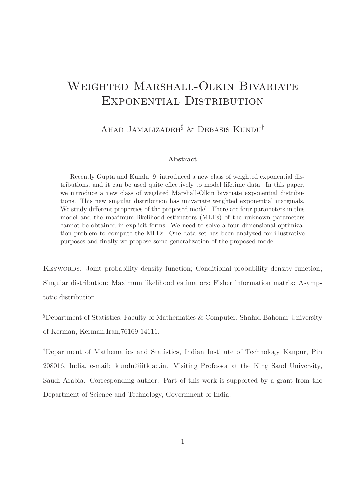# Weighted Marshall-Olkin Bivariate Exponential Distribution

Ahad Jamalizadeh§ & Debasis Kundu†

#### Abstract

Recently Gupta and Kundu [9] introduced a new class of weighted exponential distributions, and it can be used quite effectively to model lifetime data. In this paper, we introduce a new class of weighted Marshall-Olkin bivariate exponential distributions. This new singular distribution has univariate weighted exponential marginals. We study different properties of the proposed model. There are four parameters in this model and the maximum likelihood estimators (MLEs) of the unknown parameters cannot be obtained in explicit forms. We need to solve a four dimensional optimization problem to compute the MLEs. One data set has been analyzed for illustrative purposes and finally we propose some generalization of the proposed model.

KEYWORDS: Joint probability density function; Conditional probability density function; Singular distribution; Maximum likelihood estimators; Fisher information matrix; Asymptotic distribution.

§Department of Statistics, Faculty of Mathematics & Computer, Shahid Bahonar University of Kerman, Kerman,Iran,76169-14111.

†Department of Mathematics and Statistics, Indian Institute of Technology Kanpur, Pin 208016, India, e-mail: kundu@iitk.ac.in. Visiting Professor at the King Saud University, Saudi Arabia. Corresponding author. Part of this work is supported by a grant from the Department of Science and Technology, Government of India.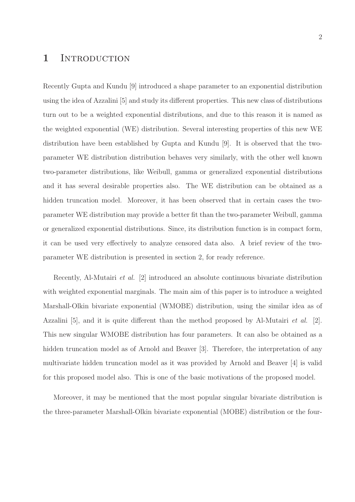### 1 INTRODUCTION

Recently Gupta and Kundu [9] introduced a shape parameter to an exponential distribution using the idea of Azzalini [5] and study its different properties. This new class of distributions turn out to be a weighted exponential distributions, and due to this reason it is named as the weighted exponential (WE) distribution. Several interesting properties of this new WE distribution have been established by Gupta and Kundu [9]. It is observed that the twoparameter WE distribution distribution behaves very similarly, with the other well known two-parameter distributions, like Weibull, gamma or generalized exponential distributions and it has several desirable properties also. The WE distribution can be obtained as a hidden truncation model. Moreover, it has been observed that in certain cases the twoparameter WE distribution may provide a better fit than the two-parameter Weibull, gamma or generalized exponential distributions. Since, its distribution function is in compact form, it can be used very effectively to analyze censored data also. A brief review of the twoparameter WE distribution is presented in section 2, for ready reference.

Recently, Al-Mutairi et al. [2] introduced an absolute continuous bivariate distribution with weighted exponential marginals. The main aim of this paper is to introduce a weighted Marshall-Olkin bivariate exponential (WMOBE) distribution, using the similar idea as of Azzalini [5], and it is quite different than the method proposed by Al-Mutairi et al. [2]. This new singular WMOBE distribution has four parameters. It can also be obtained as a hidden truncation model as of Arnold and Beaver [3]. Therefore, the interpretation of any multivariate hidden truncation model as it was provided by Arnold and Beaver [4] is valid for this proposed model also. This is one of the basic motivations of the proposed model.

Moreover, it may be mentioned that the most popular singular bivariate distribution is the three-parameter Marshall-Olkin bivariate exponential (MOBE) distribution or the four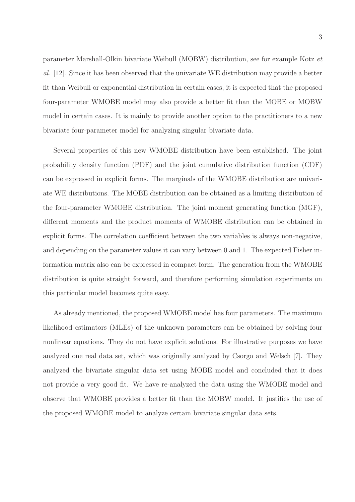parameter Marshall-Olkin bivariate Weibull (MOBW) distribution, see for example Kotz et al. [12]. Since it has been observed that the univariate WE distribution may provide a better fit than Weibull or exponential distribution in certain cases, it is expected that the proposed four-parameter WMOBE model may also provide a better fit than the MOBE or MOBW model in certain cases. It is mainly to provide another option to the practitioners to a new bivariate four-parameter model for analyzing singular bivariate data.

Several properties of this new WMOBE distribution have been established. The joint probability density function (PDF) and the joint cumulative distribution function (CDF) can be expressed in explicit forms. The marginals of the WMOBE distribution are univariate WE distributions. The MOBE distribution can be obtained as a limiting distribution of the four-parameter WMOBE distribution. The joint moment generating function (MGF), different moments and the product moments of WMOBE distribution can be obtained in explicit forms. The correlation coefficient between the two variables is always non-negative, and depending on the parameter values it can vary between 0 and 1. The expected Fisher information matrix also can be expressed in compact form. The generation from the WMOBE distribution is quite straight forward, and therefore performing simulation experiments on this particular model becomes quite easy.

As already mentioned, the proposed WMOBE model has four parameters. The maximum likelihood estimators (MLEs) of the unknown parameters can be obtained by solving four nonlinear equations. They do not have explicit solutions. For illustrative purposes we have analyzed one real data set, which was originally analyzed by Csorgo and Welsch [7]. They analyzed the bivariate singular data set using MOBE model and concluded that it does not provide a very good fit. We have re-analyzed the data using the WMOBE model and observe that WMOBE provides a better fit than the MOBW model. It justifies the use of the proposed WMOBE model to analyze certain bivariate singular data sets.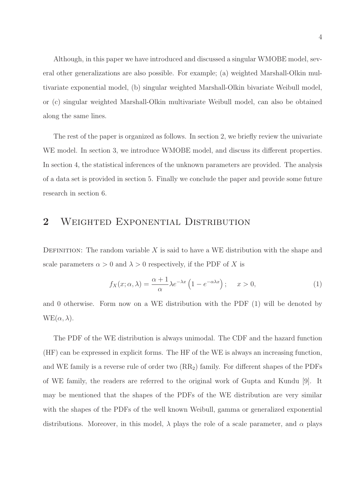Although, in this paper we have introduced and discussed a singular WMOBE model, several other generalizations are also possible. For example; (a) weighted Marshall-Olkin multivariate exponential model, (b) singular weighted Marshall-Olkin bivariate Weibull model, or (c) singular weighted Marshall-Olkin multivariate Weibull model, can also be obtained along the same lines.

The rest of the paper is organized as follows. In section 2, we briefly review the univariate WE model. In section 3, we introduce WMOBE model, and discuss its different properties. In section 4, the statistical inferences of the unknown parameters are provided. The analysis of a data set is provided in section 5. Finally we conclude the paper and provide some future research in section 6.

# 2 WEIGHTED EXPONENTIAL DISTRIBUTION

DEFINITION: The random variable  $X$  is said to have a WE distribution with the shape and scale parameters  $\alpha > 0$  and  $\lambda > 0$  respectively, if the PDF of X is

$$
f_X(x; \alpha, \lambda) = \frac{\alpha + 1}{\alpha} \lambda e^{-\lambda x} \left( 1 - e^{-\alpha \lambda x} \right); \quad x > 0,
$$
 (1)

and 0 otherwise. Form now on a WE distribution with the PDF (1) will be denoted by  $WE(\alpha, \lambda)$ .

The PDF of the WE distribution is always unimodal. The CDF and the hazard function (HF) can be expressed in explicit forms. The HF of the WE is always an increasing function, and WE family is a reverse rule of order two  $(RR_2)$  family. For different shapes of the PDFs of WE family, the readers are referred to the original work of Gupta and Kundu [9]. It may be mentioned that the shapes of the PDFs of the WE distribution are very similar with the shapes of the PDFs of the well known Weibull, gamma or generalized exponential distributions. Moreover, in this model,  $\lambda$  plays the role of a scale parameter, and  $\alpha$  plays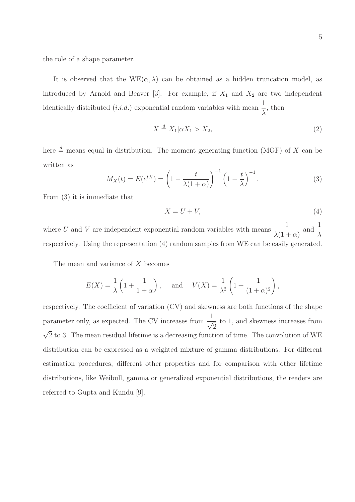the role of a shape parameter.

It is observed that the  $WE(\alpha, \lambda)$  can be obtained as a hidden truncation model, as introduced by Arnold and Beaver [3]. For example, if  $X_1$  and  $X_2$  are two independent identically distributed  $(i.i.d.)$  exponential random variables with mean  $\frac{1}{1}$  $\lambda$ , then

$$
X \stackrel{d}{=} X_1 | \alpha X_1 > X_2,\tag{2}
$$

here  $\stackrel{d}{=}$  means equal in distribution. The moment generating function (MGF) of X can be written as

$$
M_X(t) = E(e^{tX}) = \left(1 - \frac{t}{\lambda(1+\alpha)}\right)^{-1} \left(1 - \frac{t}{\lambda}\right)^{-1}.
$$
 (3)

From (3) it is immediate that

$$
X = U + V,\tag{4}
$$

where U and V are independent exponential random variables with means  $\frac{1}{\sqrt{1-\mu}}$  $\lambda(1+\alpha)$ and  $\frac{1}{\sqrt{2}}$ λ respectively. Using the representation (4) random samples from WE can be easily generated.

The mean and variance of X becomes

$$
E(X) = \frac{1}{\lambda} \left( 1 + \frac{1}{1 + \alpha} \right), \quad \text{and} \quad V(X) = \frac{1}{\lambda^2} \left( 1 + \frac{1}{(1 + \alpha)^2} \right),
$$

respectively. The coefficient of variation (CV) and skewness are both functions of the shape parameter only, as expected. The CV increases from  $\frac{1}{\sqrt{2}}$ to 1, and skewness increases from  $\sqrt{2}$  to 3. The mean residual lifetime is a decreasing function of time. The convolution of WE distribution can be expressed as a weighted mixture of gamma distributions. For different estimation procedures, different other properties and for comparison with other lifetime distributions, like Weibull, gamma or generalized exponential distributions, the readers are referred to Gupta and Kundu [9].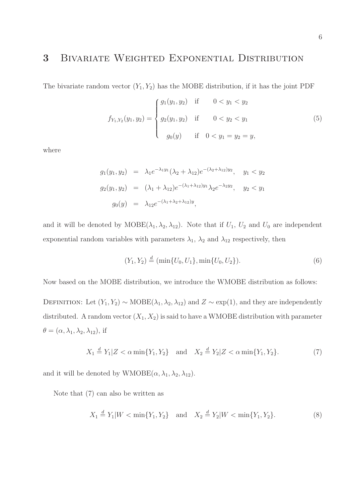# 3 Bivariate Weighted Exponential Distribution

The bivariate random vector  $(Y_1, Y_2)$  has the MOBE distribution, if it has the joint PDF

$$
f_{Y_1,Y_2}(y_1, y_2) = \begin{cases} g_1(y_1, y_2) & \text{if } 0 < y_1 < y_2 \\ g_2(y_1, y_2) & \text{if } 0 < y_2 < y_1 \\ g_0(y) & \text{if } 0 < y_1 = y_2 = y, \end{cases}
$$
 (5)

where

$$
g_1(y_1, y_2) = \lambda_1 e^{-\lambda_1 y_1} (\lambda_2 + \lambda_{12}) e^{-(\lambda_2 + \lambda_{12}) y_2}, \quad y_1 < y_2
$$
\n
$$
g_2(y_1, y_2) = (\lambda_1 + \lambda_{12}) e^{-(\lambda_1 + \lambda_{12}) y_1} \lambda_2 e^{-\lambda_2 y_2}, \quad y_2 < y_1
$$
\n
$$
g_0(y) = \lambda_{12} e^{-(\lambda_1 + \lambda_2 + \lambda_{12}) y},
$$

and it will be denoted by  $\text{MOBE}(\lambda_1, \lambda_2, \lambda_{12})$ . Note that if  $U_1$ ,  $U_2$  and  $U_0$  are independent exponential random variables with parameters  $\lambda_1$ ,  $\lambda_2$  and  $\lambda_{12}$  respectively, then

$$
(Y_1, Y_2) \stackrel{d}{=} (\min\{U_0, U_1\}, \min\{U_0, U_2\}).
$$
\n(6)

Now based on the MOBE distribution, we introduce the WMOBE distribution as follows:

DEFINITION: Let  $(Y_1, Y_2) \sim \text{MOBE}(\lambda_1, \lambda_2, \lambda_{12})$  and  $Z \sim \exp(1)$ , and they are independently distributed. A random vector  $(X_1, X_2)$  is said to have a WMOBE distribution with parameter  $\theta = (\alpha, \lambda_1, \lambda_2, \lambda_{12}),$  if

$$
X_1 \stackrel{d}{=} Y_1 | Z < \alpha \min\{Y_1, Y_2\} \quad \text{and} \quad X_2 \stackrel{d}{=} Y_2 | Z < \alpha \min\{Y_1, Y_2\}. \tag{7}
$$

and it will be denoted by  $WMOBE(\alpha, \lambda_1, \lambda_2, \lambda_{12}).$ 

Note that (7) can also be written as

$$
X_1 \stackrel{d}{=} Y_1 | W < \min\{Y_1, Y_2\} \quad \text{and} \quad X_2 \stackrel{d}{=} Y_2 | W < \min\{Y_1, Y_2\}. \tag{8}
$$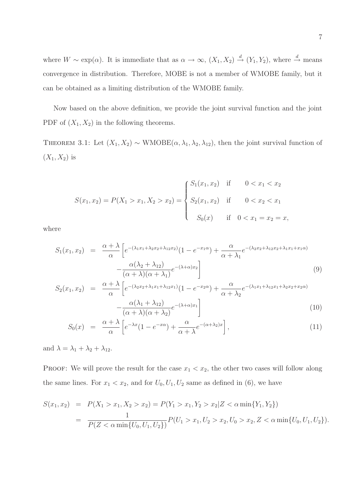where  $W \sim \exp(\alpha)$ . It is immediate that as  $\alpha \to \infty$ ,  $(X_1, X_2) \stackrel{d}{\to} (Y_1, Y_2)$ , where  $\stackrel{d}{\to}$  means convergence in distribution. Therefore, MOBE is not a member of WMOBE family, but it can be obtained as a limiting distribution of the WMOBE family.

Now based on the above definition, we provide the joint survival function and the joint PDF of  $(X_1, X_2)$  in the following theorems.

THEOREM 3.1: Let  $(X_1, X_2) \sim \text{WMOBE}(\alpha, \lambda_1, \lambda_2, \lambda_{12})$ , then the joint survival function of  $(X_1,X_2)$  is

$$
S(x_1, x_2) = P(X_1 > x_1, X_2 > x_2) = \begin{cases} S_1(x_1, x_2) & \text{if } 0 < x_1 < x_2 \\ S_2(x_1, x_2) & \text{if } 0 < x_2 < x_1 \\ S_0(x) & \text{if } 0 < x_1 = x_2 = x, \end{cases}
$$

where

$$
S_1(x_1, x_2) = \frac{\alpha + \lambda}{\alpha} \left[ e^{-(\lambda_1 x_1 + \lambda_2 x_2 + \lambda_1 2 x_2)} (1 - e^{-x_1 \alpha}) + \frac{\alpha}{\alpha + \lambda_1} e^{-(\lambda_2 x_2 + \lambda_1 2 x_2 + \lambda_1 x_1 + x_1 \alpha)} - \frac{\alpha(\lambda_2 + \lambda_1 2)}{(\alpha + \lambda)(\alpha + \lambda_1)} e^{-(\lambda + \alpha)x_2} \right]
$$
(9)

$$
S_2(x_1, x_2) = \frac{\alpha + \lambda}{\alpha} \left[ e^{-(\lambda_2 x_2 + \lambda_1 x_1 + \lambda_1 x_2)} (1 - e^{-x_2 \alpha}) + \frac{\alpha}{\alpha + \lambda_2} e^{-(\lambda_1 x_1 + \lambda_1 x_2 + \lambda_2 x_2 + x_2 \alpha)} - \frac{\alpha(\lambda_1 + \lambda_1 x_2)}{(\alpha + \lambda)(\alpha + \lambda_2)} e^{-(\lambda + \alpha)x_1} \right]
$$
(10)

$$
S_0(x) = \frac{\alpha + \lambda}{\alpha} \left[ e^{-\lambda x} (1 - e^{-x\alpha}) + \frac{\alpha}{\alpha + \lambda} e^{-(\alpha + \lambda_2)x} \right],
$$
\n(11)

and  $\lambda = \lambda_1 + \lambda_2 + \lambda_{12}$ .

PROOF: We will prove the result for the case  $x_1 < x_2$ , the other two cases will follow along the same lines. For  $x_1 < x_2$ , and for  $U_0, U_1, U_2$  same as defined in (6), we have

$$
S(x_1, x_2) = P(X_1 > x_1, X_2 > x_2) = P(Y_1 > x_1, Y_2 > x_2 | Z < \alpha \min\{Y_1, Y_2\})
$$
  
= 
$$
\frac{1}{P(Z < \alpha \min\{U_0, U_1, U_2\})} P(U_1 > x_1, U_2 > x_2, U_0 > x_2, Z < \alpha \min\{U_0, U_1, U_2\}).
$$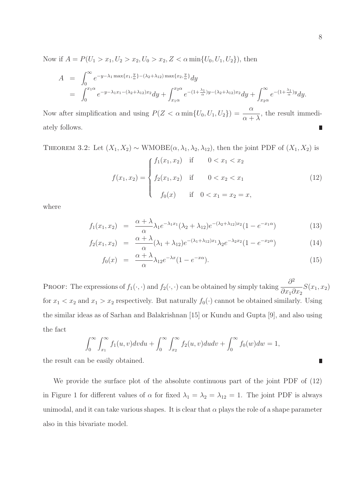Now if  $A = P(U_1 > x_1, U_2 > x_2, U_0 > x_2, Z < \alpha \min\{U_0, U_1, U_2\})$ , then

$$
A = \int_0^\infty e^{-y-\lambda_1 \max\{x_1, \frac{y}{\alpha}\} - (\lambda_2 + \lambda_{12}) \max\{x_2, \frac{y}{\alpha}\}} dy
$$
  
= 
$$
\int_0^{x_1 \alpha} e^{-y-\lambda_1 x_1 - (\lambda_2 + \lambda_{12}) x_2} dy + \int_{x_1 \alpha}^{x_2 \alpha} e^{-(1+\frac{\lambda_1}{\alpha})y - (\lambda_2 + \lambda_{12}) x_2} dy + \int_{x_2 \alpha}^\infty e^{-(1+\frac{\lambda_1}{\alpha})y} dy.
$$

Now after simplification and using  $P(Z < \alpha \min\{U_0, U_1, U_2\}) = \frac{\alpha}{\alpha + \lambda}$ , the result immediately follows. Π

THEOREM 3.2: Let  $(X_1, X_2) \sim WMOBE(\alpha, \lambda_1, \lambda_2, \lambda_{12})$ , then the joint PDF of  $(X_1, X_2)$  is

$$
f(x_1, x_2) = \begin{cases} f_1(x_1, x_2) & \text{if } 0 < x_1 < x_2 \\ f_2(x_1, x_2) & \text{if } 0 < x_2 < x_1 \\ f_0(x) & \text{if } 0 < x_1 = x_2 = x, \end{cases}
$$
 (12)

where

$$
f_1(x_1, x_2) = \frac{\alpha + \lambda}{\alpha} \lambda_1 e^{-\lambda_1 x_1} (\lambda_2 + \lambda_{12}) e^{-(\lambda_2 + \lambda_{12}) x_2} (1 - e^{-x_1 \alpha}) \tag{13}
$$

$$
f_2(x_1, x_2) = \frac{\alpha + \lambda}{\alpha} (\lambda_1 + \lambda_{12}) e^{-(\lambda_1 + \lambda_{12})x_1} \lambda_2 e^{-\lambda_2 x_2} (1 - e^{-x_2 \alpha}) \tag{14}
$$

$$
f_0(x) = \frac{\alpha + \lambda}{\alpha} \lambda_{12} e^{-\lambda x} (1 - e^{-x\alpha}). \tag{15}
$$

PROOF: The expressions of  $f_1(\cdot, \cdot)$  and  $f_2(\cdot, \cdot)$  can be obtained by simply taking  $\frac{\partial^2 f}{\partial x_1 \partial y_2}$  $\partial x_1 \partial x_2$  $S(x_1, x_2)$ for  $x_1 < x_2$  and  $x_1 > x_2$  respectively. But naturally  $f_0(\cdot)$  cannot be obtained similarly. Using the similar ideas as of Sarhan and Balakrishnan [15] or Kundu and Gupta [9], and also using the fact

$$
\int_0^{\infty} \int_{x_1}^{\infty} f_1(u, v) dv du + \int_0^{\infty} \int_{x_2}^{\infty} f_2(u, v) du dv + \int_0^{\infty} f_0(w) dw = 1,
$$

the result can be easily obtained.

We provide the surface plot of the absolute continuous part of the joint PDF of (12) in Figure 1 for different values of  $\alpha$  for fixed  $\lambda_1 = \lambda_2 = \lambda_{12} = 1$ . The joint PDF is always unimodal, and it can take various shapes. It is clear that  $\alpha$  plays the role of a shape parameter also in this bivariate model.

 $\blacksquare$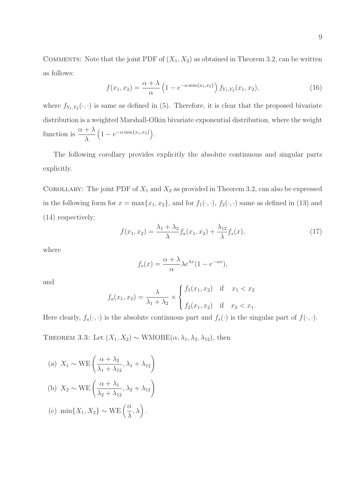COMMENTS: Note that the joint PDF of  $(X_1, X_2)$  as obtained in Theorem 3.2, can be written as follows:

$$
f(x_1, x_2) = \frac{\alpha + \lambda}{\alpha} \left( 1 - e^{-\alpha \min\{x_1, x_2\}} \right) f_{Y_1, Y_2}(x_1, x_2), \tag{16}
$$

where  $f_{Y_1,Y_2}(\cdot,\cdot)$  is same as defined in (5). Therefore, it is clear that the proposed bivariate distribution is a weighted Marshall-Olkin bivariate exponential distribution, where the weight function is  $\frac{\alpha + \lambda}{\lambda}$ λ  $(1 - e^{-\alpha \min\{x_1, x_2\}}).$ 

The following corollary provides explicitly the absolute continuous and singular parts explicitly.

COROLLARY: The joint PDF of  $X_1$  and  $X_2$  as provided in Theorem 3.2, can also be expressed in the following form for  $x = \max\{x_1, x_2\}$ , and for  $f_1(\cdot, \cdot)$ ,  $f_2(\cdot, \cdot)$  same as defined in (13) and (14) respectively;

$$
f(x_1, x_2) = \frac{\lambda_1 + \lambda_2}{\lambda} f_a(x_1, x_2) + \frac{\lambda_{12}}{\lambda} f_s(x),
$$
 (17)

where

$$
f_s(x) = \frac{\alpha + \lambda}{\alpha} \lambda e^{\lambda x} (1 - e^{-\alpha x}),
$$

and

$$
f_a(x_1, x_2) = \frac{\lambda}{\lambda_1 + \lambda_2} \times \begin{cases} f_1(x_1, x_2) & \text{if } x_1 < x_2 \\ f_2(x_1, x_2) & \text{if } x_2 < x_1. \end{cases}
$$

Here clearly,  $f_a(\cdot, \cdot)$  is the absolute continuous part and  $f_s(\cdot)$  is the singular part of  $f(\cdot, \cdot)$ .

THEOREM 3.3: Let  $(X_1, X_2) \sim \text{WMOBE}(\alpha, \lambda_1, \lambda_2, \lambda_{12})$ , then

(a) 
$$
X_1 \sim \text{WE}\left(\frac{\alpha + \lambda_2}{\lambda_1 + \lambda_{12}}, \lambda_1 + \lambda_{12}\right)
$$
  
\n(b)  $X_2 \sim \text{WE}\left(\frac{\alpha + \lambda_1}{\lambda_2 + \lambda_{12}}, \lambda_2 + \lambda_{12}\right)$   
\n(c)  $\min\{X_1, X_2\} \sim \text{WE}\left(\frac{\alpha}{\lambda}, \lambda\right)$ .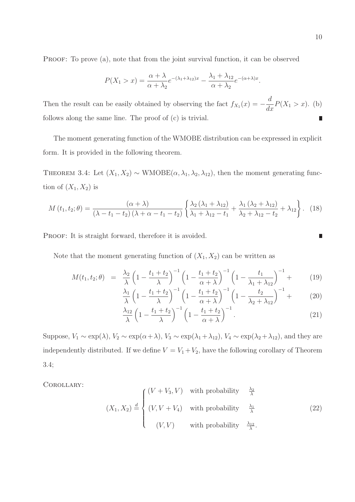PROOF: To prove (a), note that from the joint survival function, it can be observed

$$
P(X_1 > x) = \frac{\alpha + \lambda}{\alpha + \lambda_2} e^{-(\lambda_1 + \lambda_{12})x} - \frac{\lambda_1 + \lambda_{12}}{\alpha + \lambda_2} e^{-(\alpha + \lambda)x}.
$$

d Then the result can be easily obtained by observing the fact  $f_{X_1}(x) = \frac{d}{dx}P(X_1 > x)$ . (b) follows along the same line. The proof of (c) is trivial.  $\blacksquare$ 

The moment generating function of the WMOBE distribution can be expressed in explicit form. It is provided in the following theorem.

THEOREM 3.4: Let  $(X_1, X_2) \sim \text{WMOBE}(\alpha, \lambda_1, \lambda_2, \lambda_{12})$ , then the moment generating function of  $(X_1, X_2)$  is

$$
M(t_1, t_2; \theta) = \frac{(\alpha + \lambda)}{(\lambda - t_1 - t_2)(\lambda + \alpha - t_1 - t_2)} \left\{ \frac{\lambda_2 (\lambda_1 + \lambda_{12})}{\lambda_1 + \lambda_{12} - t_1} + \frac{\lambda_1 (\lambda_2 + \lambda_{12})}{\lambda_2 + \lambda_{12} - t_2} + \lambda_{12} \right\}.
$$
 (18)

PROOF: It is straight forward, therefore it is avoided.

Note that the moment generating function of  $(X_1, X_2)$  can be written as

$$
M(t_1, t_2; \theta) = \frac{\lambda_2}{\lambda} \left( 1 - \frac{t_1 + t_2}{\lambda} \right)^{-1} \left( 1 - \frac{t_1 + t_2}{\alpha + \lambda} \right)^{-1} \left( 1 - \frac{t_1}{\lambda_1 + \lambda_1} \right)^{-1} + \tag{19}
$$

$$
\frac{\lambda_1}{\lambda} \left( 1 - \frac{t_1 + t_2}{\lambda} \right)^{-1} \left( 1 - \frac{t_1 + t_2}{\alpha + \lambda} \right)^{-1} \left( 1 - \frac{t_2}{\lambda_2 + \lambda_{12}} \right)^{-1} + \tag{20}
$$

$$
\frac{\lambda_{12}}{\lambda} \left( 1 - \frac{t_1 + t_2}{\lambda} \right)^{-1} \left( 1 - \frac{t_1 + t_2}{\alpha + \lambda} \right)^{-1} . \tag{21}
$$

Suppose,  $V_1 \sim \exp(\lambda)$ ,  $V_2 \sim \exp(\alpha + \lambda)$ ,  $V_3 \sim \exp(\lambda_1 + \lambda_{12})$ ,  $V_4 \sim \exp(\lambda_2 + \lambda_{12})$ , and they are independently distributed. If we define  $V = V_1 + V_2$ , have the following corollary of Theorem 3.4;

Corollary:

$$
(X_1, X_2) \stackrel{d}{=} \begin{cases} (V + V_3, V) & \text{with probability} \quad \frac{\lambda_2}{\lambda} \\ (V, V + V_4) & \text{with probability} \quad \frac{\lambda_1}{\lambda} \\ (V, V) & \text{with probability} \quad \frac{\lambda_{12}}{\lambda} \end{cases} \tag{22}
$$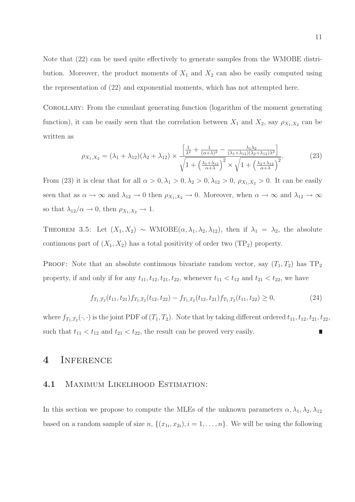Note that (22) can be used quite effectively to generate samples from the WMOBE distribution. Moreover, the product moments of  $X_1$  and  $X_2$  can also be easily computed using the representation of (22) and exponential moments, which has not attempted here.

Corollary: From the cumulant generating function (logarithm of the moment generating function), it can be easily seen that the correlation between  $X_1$  and  $X_2$ , say  $\rho_{X_1,X_2}$  can be written as

$$
\rho_{X_1,X_2} = (\lambda_1 + \lambda_{12})(\lambda_2 + \lambda_{12}) \times \frac{\left[\frac{1}{\lambda^2} + \frac{1}{(\alpha+\lambda)^2} - \frac{\lambda_1 \lambda_2}{(\lambda_1 + \lambda_{12})(\lambda_2 + \lambda_{12})\lambda^2}\right]}{\sqrt{1 + \left(\frac{\lambda_1 + \lambda_{12}}{\alpha + \lambda}\right)^2} \times \sqrt{1 + \left(\frac{\lambda_2 + \lambda_{12}}{\alpha + \lambda}\right)^2}}.
$$
(23)

From (23) it is clear that for all  $\alpha > 0, \lambda_1 > 0, \lambda_2 > 0, \lambda_{12} > 0, \rho_{X_1, X_2} > 0$ . It can be easily seen that as  $\alpha \to \infty$  and  $\lambda_{12} \to 0$  then  $\rho_{X_1,X_2} \to 0$ . Moreover, when  $\alpha \to \infty$  and  $\lambda_{12} \to \infty$ so that  $\lambda_{12}/\alpha \rightarrow 0$ , then  $\rho_{X_1,X_2} \rightarrow 1$ .

THEOREM 3.5: Let  $(X_1, X_2) \sim WMOBE(\alpha, \lambda_1, \lambda_2, \lambda_{12})$ , then if  $\lambda_1 = \lambda_2$ , the absolute continuous part of  $(X_1, X_2)$  has a total positivity of order two  $(TP_2)$  property.

PROOF: Note that an absolute continuous bivariate random vector, say  $(T_1, T_2)$  has  $TP_2$ property, if and only if for any  $t_{11}$ ,  $t_{12}$ ,  $t_{21}$ ,  $t_{22}$ , whenever  $t_{11} < t_{12}$  and  $t_{21} < t_{22}$ , we have

$$
f_{T_1,T_2}(t_{11}, t_{21}) f_{T_1,T_2}(t_{12}, t_{22}) - f_{T_1,T_2}(t_{12}, t_{21}) f_{T_1,T_2}(t_{11}, t_{22}) \ge 0,
$$
\n(24)

where  $f_{T_1,T_2}(\cdot,\cdot)$  is the joint PDF of  $(T_1,T_2)$ . Note that by taking different ordered  $t_{11},t_{12},t_{21},t_{22}$ , such that  $t_{11} < t_{12}$  and  $t_{21} < t_{22}$ , the result can be proved very easily.

### 4 Inference

#### 4.1 Maximum Likelihood Estimation:

In this section we propose to compute the MLEs of the unknown parameters  $\alpha, \lambda_1, \lambda_2, \lambda_{12}$ based on a random sample of size  $n, \{(x_{1i}, x_{2i}), i = 1, \ldots, n\}$ . We will be using the following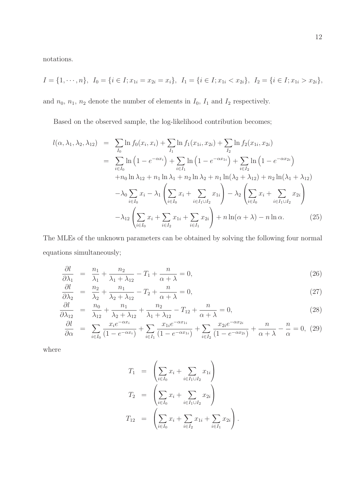notations.

$$
I = \{1, \dots, n\}, \ I_0 = \{i \in I; x_{1i} = x_{2i} = x_i\}, \ I_1 = \{i \in I; x_{1i} < x_{2i}\}, \ I_2 = \{i \in I; x_{1i} > x_{2i}\},
$$

and  $n_0$ ,  $n_1$ ,  $n_2$  denote the number of elements in  $I_0$ ,  $I_1$  and  $I_2$  respectively.

Based on the observed sample, the log-likelihood contribution becomes;

$$
l(\alpha, \lambda_1, \lambda_2, \lambda_{12}) = \sum_{I_0} \ln f_0(x_i, x_i) + \sum_{I_1} \ln f_1(x_{1i}, x_{2i}) + \sum_{I_2} \ln f_2(x_{1i}, x_{2i})
$$
  
\n
$$
= \sum_{i \in I_0} \ln (1 - e^{-\alpha x_i}) + \sum_{i \in I_1} \ln (1 - e^{-\alpha x_{1i}}) + \sum_{i \in I_2} \ln (1 - e^{-\alpha x_{2i}})
$$
  
\n
$$
+ n_0 \ln \lambda_{12} + n_1 \ln \lambda_1 + n_2 \ln \lambda_2 + n_1 \ln(\lambda_2 + \lambda_{12}) + n_2 \ln(\lambda_1 + \lambda_{12})
$$
  
\n
$$
- \lambda_0 \sum_{i \in I_0} x_i - \lambda_1 \left( \sum_{i \in I_0} x_i + \sum_{i \in I_1 \cup I_2} x_{1i} \right) - \lambda_2 \left( \sum_{i \in I_0} x_i + \sum_{i \in I_1 \cup I_2} x_{2i} \right)
$$
  
\n
$$
- \lambda_{12} \left( \sum_{i \in I_0} x_i + \sum_{i \in I_2} x_{1i} + \sum_{i \in I_1} x_{2i} \right) + n \ln(\alpha + \lambda) - n \ln \alpha.
$$
 (25)

The MLEs of the unknown parameters can be obtained by solving the following four normal equations simultaneously;

$$
\frac{\partial l}{\partial \lambda_1} = \frac{n_1}{\lambda_1} + \frac{n_2}{\lambda_1 + \lambda_1} - T_1 + \frac{n}{\alpha + \lambda} = 0,\tag{26}
$$

$$
\frac{\partial l}{\partial \lambda_2} = \frac{n_2}{\lambda_2} + \frac{n_1}{\lambda_2 + \lambda_1} - T_2 + \frac{n}{\alpha + \lambda} = 0,\tag{27}
$$

$$
\frac{\partial l}{\partial \lambda_{12}} = \frac{n_0}{\lambda_{12}} + \frac{n_1}{\lambda_2 + \lambda_{12}} + \frac{n_2}{\lambda_1 + \lambda_{12}} - T_{12} + \frac{n_1}{\alpha + \lambda} = 0,\tag{28}
$$

$$
\frac{\partial l}{\partial \alpha} = \sum_{i \in I_0} \frac{x_i e^{-\alpha x_i}}{(1 - e^{-\alpha x_i})} + \sum_{i \in I_1} \frac{x_{1i} e^{-\alpha x_{1i}}}{(1 - e^{-\alpha x_{1i}})} + \sum_{i \in I_2} \frac{x_{2i} e^{-\alpha x_{2i}}}{(1 - e^{-\alpha x_{2i}})} + \frac{n}{\alpha + \lambda} - \frac{n}{\alpha} = 0, \tag{29}
$$

where

$$
T_1 = \left(\sum_{i \in I_0} x_i + \sum_{i \in I_1 \cup I_2} x_{1i}\right)
$$
  
\n
$$
T_2 = \left(\sum_{i \in I_0} x_i + \sum_{i \in I_1 \cup I_2} x_{2i}\right)
$$
  
\n
$$
T_{12} = \left(\sum_{i \in I_0} x_i + \sum_{i \in I_2} x_{1i} + \sum_{i \in I_1} x_{2i}\right).
$$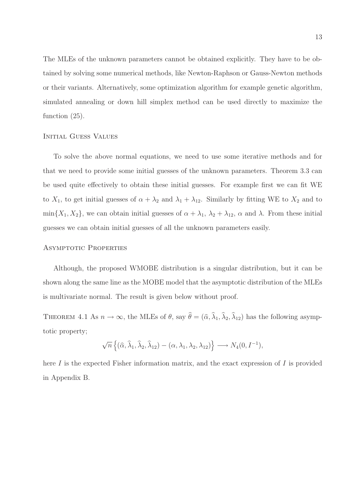The MLEs of the unknown parameters cannot be obtained explicitly. They have to be obtained by solving some numerical methods, like Newton-Raphson or Gauss-Newton methods or their variants. Alternatively, some optimization algorithm for example genetic algorithm, simulated annealing or down hill simplex method can be used directly to maximize the function (25).

#### Initial Guess Values

To solve the above normal equations, we need to use some iterative methods and for that we need to provide some initial guesses of the unknown parameters. Theorem 3.3 can be used quite effectively to obtain these initial guesses. For example first we can fit WE to  $X_1$ , to get initial guesses of  $\alpha + \lambda_2$  and  $\lambda_1 + \lambda_1$ . Similarly by fitting WE to  $X_2$  and to min $\{X_1, X_2\}$ , we can obtain initial guesses of  $\alpha + \lambda_1$ ,  $\lambda_2 + \lambda_{12}$ ,  $\alpha$  and  $\lambda$ . From these initial guesses we can obtain initial guesses of all the unknown parameters easily.

#### Asymptotic Properties

Although, the proposed WMOBE distribution is a singular distribution, but it can be shown along the same line as the MOBE model that the asymptotic distribution of the MLEs is multivariate normal. The result is given below without proof.

THEOREM 4.1 As  $n \to \infty$ , the MLEs of  $\theta$ , say  $\hat{\theta} = (\hat{\alpha}, \hat{\lambda}_1, \hat{\lambda}_2, \hat{\lambda}_{12})$  has the following asymptotic property;

$$
\sqrt{n}\left\{(\widehat{\alpha},\widehat{\lambda}_1,\widehat{\lambda}_2,\widehat{\lambda}_{12})-(\alpha,\lambda_1,\lambda_2,\lambda_{12})\right\}\longrightarrow N_4(0,I^{-1}),
$$

here I is the expected Fisher information matrix, and the exact expression of I is provided in Appendix B.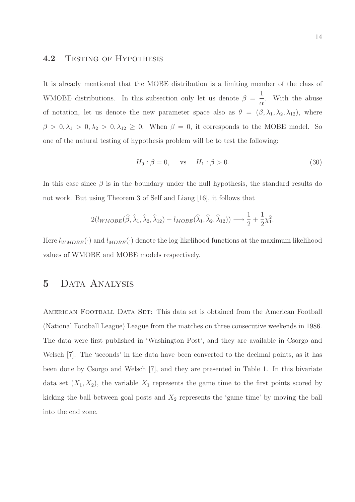#### 4.2 TESTING OF HYPOTHESIS

It is already mentioned that the MOBE distribution is a limiting member of the class of WMOBE distributions. In this subsection only let us denote  $\beta =$ 1  $\alpha$ . With the abuse of notation, let us denote the new parameter space also as  $\theta = (\beta, \lambda_1, \lambda_2, \lambda_{12})$ , where  $\beta > 0, \lambda_1 > 0, \lambda_2 > 0, \lambda_{12} \geq 0$ . When  $\beta = 0$ , it corresponds to the MOBE model. So one of the natural testing of hypothesis problem will be to test the following:

$$
H_0: \beta = 0, \quad \text{vs} \quad H_1: \beta > 0. \tag{30}
$$

In this case since  $\beta$  is in the boundary under the null hypothesis, the standard results do not work. But using Theorem 3 of Self and Liang [16], it follows that

$$
2(l_{WMOBE}(\widehat{\beta}, \widehat{\lambda}_1, \widehat{\lambda}_2, \widehat{\lambda}_{12}) - l_{MOBE}(\widehat{\lambda}_1, \widehat{\lambda}_2, \widehat{\lambda}_{12})) \longrightarrow \frac{1}{2} + \frac{1}{2}\chi_1^2.
$$

Here  $l_{WMOBE}(\cdot)$  and  $l_{MOBE}(\cdot)$  denote the log-likelihood functions at the maximum likelihood values of WMOBE and MOBE models respectively.

## 5 Data Analysis

AMERICAN FOOTBALL DATA SET: This data set is obtained from the American Football (National Football League) League from the matches on three consecutive weekends in 1986. The data were first published in 'Washington Post', and they are available in Csorgo and Welsch [7]. The 'seconds' in the data have been converted to the decimal points, as it has been done by Csorgo and Welsch [7], and they are presented in Table 1. In this bivariate data set  $(X_1, X_2)$ , the variable  $X_1$  represents the game time to the first points scored by kicking the ball between goal posts and  $X_2$  represents the 'game time' by moving the ball into the end zone.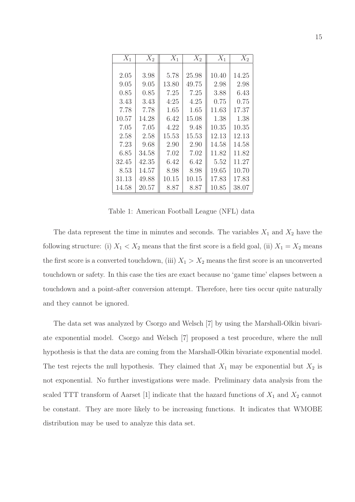| $X_1$ | $X_2$ | $X_1$ | $X_2$ | $X_1$ | $X_2$ |
|-------|-------|-------|-------|-------|-------|
|       |       |       |       |       |       |
| 2.05  | 3.98  | 5.78  | 25.98 | 10.40 | 14.25 |
| 9.05  | 9.05  | 13.80 | 49.75 | 2.98  | 2.98  |
| 0.85  | 0.85  | 7.25  | 7.25  | 3.88  | 6.43  |
| 3.43  | 3.43  | 4:25  | 4.25  | 0.75  | 0.75  |
| 7.78  | 7.78  | 1.65  | 1.65  | 11.63 | 17.37 |
| 10.57 | 14.28 | 6.42  | 15.08 | 1.38  | 1.38  |
| 7.05  | 7.05  | 4.22  | 9.48  | 10.35 | 10.35 |
| 2.58  | 2.58  | 15.53 | 15.53 | 12.13 | 12.13 |
| 7.23  | 9.68  | 2.90  | 2.90  | 14.58 | 14.58 |
| 6.85  | 34.58 | 7.02  | 7.02  | 11.82 | 11.82 |
| 32.45 | 42.35 | 6.42  | 6.42  | 5.52  | 11.27 |
| 8.53  | 14.57 | 8.98  | 8.98  | 19.65 | 10.70 |
| 31.13 | 49.88 | 10.15 | 10.15 | 17.83 | 17.83 |
| 14.58 | 20.57 | 8.87  | 8.87  | 10.85 | 38.07 |

Table 1: American Football League (NFL) data

The data represent the time in minutes and seconds. The variables  $X_1$  and  $X_2$  have the following structure: (i)  $X_1 < X_2$  means that the first score is a field goal, (ii)  $X_1 = X_2$  means the first score is a converted touchdown, (iii)  $X_1 > X_2$  means the first score is an unconverted touchdown or safety. In this case the ties are exact because no 'game time' elapses between a touchdown and a point-after conversion attempt. Therefore, here ties occur quite naturally and they cannot be ignored.

The data set was analyzed by Csorgo and Welsch [7] by using the Marshall-Olkin bivariate exponential model. Csorgo and Welsch [7] proposed a test procedure, where the null hypothesis is that the data are coming from the Marshall-Olkin bivariate exponential model. The test rejects the null hypothesis. They claimed that  $X_1$  may be exponential but  $X_2$  is not exponential. No further investigations were made. Preliminary data analysis from the scaled TTT transform of Aarset [1] indicate that the hazard functions of  $X_1$  and  $X_2$  cannot be constant. They are more likely to be increasing functions. It indicates that WMOBE distribution may be used to analyze this data set.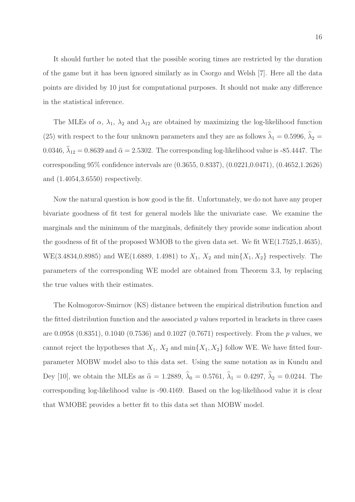It should further be noted that the possible scoring times are restricted by the duration of the game but it has been ignored similarly as in Csorgo and Welsh [7]. Here all the data points are divided by 10 just for computational purposes. It should not make any difference in the statistical inference.

The MLEs of  $\alpha$ ,  $\lambda_1$ ,  $\lambda_2$  and  $\lambda_{12}$  are obtained by maximizing the log-likelihood function (25) with respect to the four unknown parameters and they are as follows  $\hat{\lambda}_1 = 0.5996$ ,  $\hat{\lambda}_2 =$ 0.0346,  $\hat{\lambda}_{12} = 0.8639$  and  $\hat{\alpha} = 2.5302$ . The corresponding log-likelihood value is -85.4447. The corresponding 95% confidence intervals are (0.3655, 0.8337), (0.0221,0.0471), (0.4652,1.2626) and (1.4054,3.6550) respectively.

Now the natural question is how good is the fit. Unfortunately, we do not have any proper bivariate goodness of fit test for general models like the univariate case. We examine the marginals and the minimum of the marginals, definitely they provide some indication about the goodness of fit of the proposed WMOB to the given data set. We fit WE(1.7525,1.4635), WE(3.4834,0.8985) and WE(1.6889, 1.4981) to  $X_1, X_2$  and  $\min\{X_1, X_2\}$  respectively. The parameters of the corresponding WE model are obtained from Theorem 3.3, by replacing the true values with their estimates.

The Kolmogorov-Smirnov (KS) distance between the empirical distribution function and the fitted distribution function and the associated  $p$  values reported in brackets in three cases are 0.0958 (0.8351), 0.1040 (0.7536) and 0.1027 (0.7671) respectively. From the p values, we cannot reject the hypotheses that  $X_1, X_2$  and  $\min\{X_1, X_2\}$  follow WE. We have fitted fourparameter MOBW model also to this data set. Using the same notation as in Kundu and Dey [10], we obtain the MLEs as  $\hat{\alpha} = 1.2889, \hat{\lambda}_0 = 0.5761, \hat{\lambda}_1 = 0.4297, \hat{\lambda}_2 = 0.0244$ . The corresponding log-likelihood value is -90.4169. Based on the log-likelihood value it is clear that WMOBE provides a better fit to this data set than MOBW model.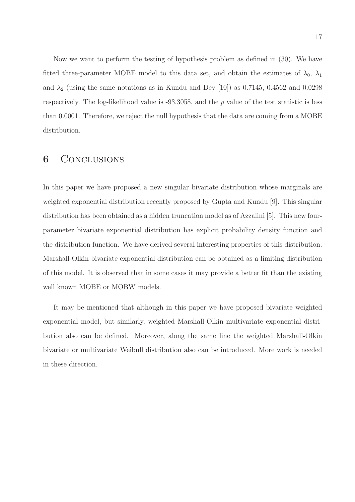Now we want to perform the testing of hypothesis problem as defined in (30). We have fitted three-parameter MOBE model to this data set, and obtain the estimates of  $\lambda_0$ ,  $\lambda_1$ and  $\lambda_2$  (using the same notations as in Kundu and Dey [10]) as 0.7145, 0.4562 and 0.0298 respectively. The log-likelihood value is  $-93.3058$ , and the p value of the test statistic is less than 0.0001. Therefore, we reject the null hypothesis that the data are coming from a MOBE distribution.

### 6 CONCLUSIONS

In this paper we have proposed a new singular bivariate distribution whose marginals are weighted exponential distribution recently proposed by Gupta and Kundu [9]. This singular distribution has been obtained as a hidden truncation model as of Azzalini [5]. This new fourparameter bivariate exponential distribution has explicit probability density function and the distribution function. We have derived several interesting properties of this distribution. Marshall-Olkin bivariate exponential distribution can be obtained as a limiting distribution of this model. It is observed that in some cases it may provide a better fit than the existing well known MOBE or MOBW models.

It may be mentioned that although in this paper we have proposed bivariate weighted exponential model, but similarly, weighted Marshall-Olkin multivariate exponential distribution also can be defined. Moreover, along the same line the weighted Marshall-Olkin bivariate or multivariate Weibull distribution also can be introduced. More work is needed in these direction.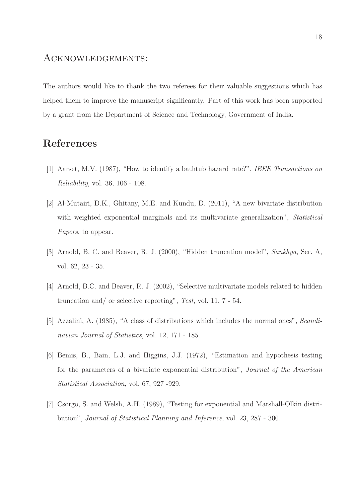### Acknowledgements:

The authors would like to thank the two referees for their valuable suggestions which has helped them to improve the manuscript significantly. Part of this work has been supported by a grant from the Department of Science and Technology, Government of India.

# References

- [1] Aarset, M.V. (1987), "How to identify a bathtub hazard rate?", IEEE Transactions on Reliability, vol. 36, 106 - 108.
- [2] Al-Mutairi, D.K., Ghitany, M.E. and Kundu, D. (2011), "A new bivariate distribution with weighted exponential marginals and its multivariate generalization", Statistical Papers, to appear.
- [3] Arnold, B. C. and Beaver, R. J. (2000), "Hidden truncation model", Sankhya, Ser. A, vol. 62, 23 - 35.
- [4] Arnold, B.C. and Beaver, R. J. (2002), "Selective multivariate models related to hidden truncation and/ or selective reporting", Test, vol. 11, 7 - 54.
- [5] Azzalini, A. (1985), "A class of distributions which includes the normal ones", Scandinavian Journal of Statistics, vol. 12, 171 - 185.
- [6] Bemis, B., Bain, L.J. and Higgins, J.J. (1972), "Estimation and hypothesis testing for the parameters of a bivariate exponential distribution", Journal of the American Statistical Association, vol. 67, 927 -929.
- [7] Csorgo, S. and Welsh, A.H. (1989), "Testing for exponential and Marshall-Olkin distribution", Journal of Statistical Planning and Inference, vol. 23, 287 - 300.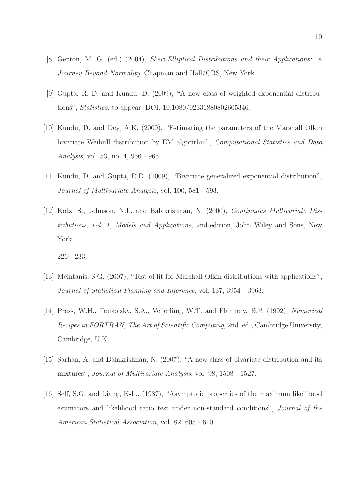- [8] Genton, M. G. (ed.) (2004), Skew-Elliptical Distributions and their Applications: A Journey Beyond Normality, Chapman and Hall/CRS, New York.
- [9] Gupta, R. D. and Kundu, D. (2009), "A new class of weighted exponential distributions", Statistics, to appear, DOI: 10.1080/02331880802605346.
- [10] Kundu, D. and Dey, A.K. (2009), "Estimating the parameters of the Marshall Olkin bivariate Weibull distribution by EM algorithm", Computational Statistics and Data Analysis, vol. 53, no. 4, 956 - 965.
- [11] Kundu, D. and Gupta, R.D. (2009), "Bivariate generalized exponential distribution", Journal of Multivariate Analysis, vol. 100, 581 - 593.
- [12] Kotz, S., Johnson, N.L. and Balakrishnan, N. (2000), Continuous Multivariate Distributions, vol. 1, Models and Applications, 2nd-edition, John Wiley and Sons, New York.

226 - 233.

- [13] Meintanis, S.G. (2007), "Test of fit for Marshall-Olkin distributions with applications", Journal of Statistical Planning and Inference, vol. 137, 3954 - 3963.
- [14] Press, W.H., Teukolsky, S.A., Vellerling, W.T. and Flannery, B.P. (1992), Numerical Recipes in FORTRAN, The Art of Scientific Computing, 2nd. ed., Cambridge University, Cambridge, U.K.
- [15] Sarhan, A. and Balakrishnan, N. (2007), "A new class of bivariate distribution and its mixtures", Journal of Multivariate Analysis, vol. 98, 1508 - 1527.
- [16] Self, S.G. and Liang, K-L., (1987), "Asymptotic properties of the maximum likelihood estimators and likelihood ratio test under non-standard conditions", Journal of the American Statistical Association, vol. 82, 605 - 610.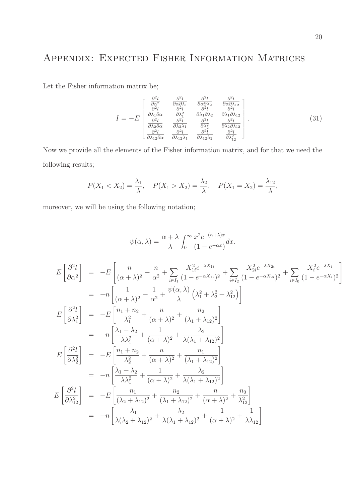# Appendix: Expected Fisher Information Matrices

Let the Fisher information matrix be;

$$
I = -E \begin{bmatrix} \frac{\partial^2 l}{\partial \alpha^2} & \frac{\partial^2 l}{\partial \alpha \partial \lambda_1} & \frac{\partial^2 l}{\partial \alpha \partial \lambda_2} & \frac{\partial^2 l}{\partial \alpha \partial \lambda_{12}} \\ \frac{\partial^2 l}{\partial \lambda_1 \partial \alpha} & \frac{\partial^2 l}{\partial \lambda_1^2} & \frac{\partial^2 l}{\partial \lambda_1 \partial \lambda_2} & \frac{\partial^2 l}{\partial \lambda_1 \partial \lambda_{12}} \\ \frac{\partial^2 l}{\partial \lambda_2 \partial \alpha} & \frac{\partial^2 l}{\partial \lambda_2 \lambda_1} & \frac{\partial^2 l}{\partial \lambda_2^2} & \frac{\partial^2 l}{\partial \lambda_2 \partial \lambda_{12}} \\ \frac{\partial^2 l}{\partial \lambda_{12} \partial \alpha} & \frac{\partial^2 l}{\partial \lambda_{12} \lambda_1} & \frac{\partial^2 l}{\partial \lambda_{12} \lambda_2} & \frac{\partial^2 l}{\partial \lambda_{12}^2} \end{bmatrix} .
$$
(31)

Now we provide all the elements of the Fisher information matrix, and for that we need the following results;

$$
P(X_1 < X_2) = \frac{\lambda_1}{\lambda}, \quad P(X_1 > X_2) = \frac{\lambda_2}{\lambda}, \quad P(X_1 = X_2) = \frac{\lambda_{12}}{\lambda},
$$

moreover, we will be using the following notation;

 $\cal E$ 

E

E

E  $\sqrt{ }$ 

$$
\psi(\alpha,\lambda) = \frac{\alpha + \lambda}{\lambda} \int_0^\infty \frac{x^2 e^{-(\alpha+\lambda)x}}{(1 - e^{-\alpha x})} dx.
$$
  

$$
\left[\frac{\partial^2 l}{\partial \alpha^2}\right] = -E\left[\frac{n}{(\alpha + \lambda)^2} - \frac{n}{\alpha^2} + \sum_{i \in I_1} \frac{X_{1i}^2 e^{-\lambda X_{1i}}}{(1 - e^{-\alpha X_{1i}})^2} + \sum_{i \in I_2} \frac{X_{2i}^2 e^{-\lambda X_{2i}}}{(1 - e^{-\alpha X_{2i}})^2} + \sum_{i \in I_0} \frac{X_i^2 e^{-\lambda X_{i}}}{(1 - e^{-\alpha X_{i}})^2}\right]
$$

$$
= -n \left[\frac{1}{(\alpha + \lambda)^2} - \frac{1}{\alpha^2} + \frac{\psi(\alpha, \lambda)}{\lambda} \left(\lambda_1^2 + \lambda_2^2 + \lambda_{12}^2\right)\right]
$$

$$
\left[\frac{\partial^2 l}{\partial \lambda_1^2}\right] = -E\left[\frac{n_1 + n_2}{\lambda_1^2} + \frac{n}{(\alpha + \lambda)^2} + \frac{n_2}{(\lambda_1 + \lambda_{12})^2}\right]
$$

$$
= -n \left[\frac{\lambda_1 + \lambda_2}{\lambda \lambda_1^2} + \frac{1}{(\alpha + \lambda)^2} + \frac{n_2}{\lambda(\lambda_1 + \lambda_{12})^2}\right]
$$

$$
\left[\frac{\partial^2 l}{\partial \lambda_2^2}\right] = -E\left[\frac{n_1 + n_2}{\lambda_2^2} + \frac{n}{(\alpha + \lambda)^2} + \frac{n_1}{(\lambda_1 + \lambda_{12})^2}\right]
$$

$$
= -n \left[\frac{\lambda_1 + \lambda_2}{\lambda \lambda_1^2} + \frac{1}{(\alpha + \lambda)^2} + \frac{\lambda_2}{\lambda(\lambda_1 + \lambda_{12})^2}\right]
$$

$$
\left[\frac{\partial^2 l}{\partial \lambda_{12}^2}\right] = -E\left[\frac{n_1}{(\lambda_2 + \lambda_{12})^2} + \frac{n_2}{(\lambda_1 + \lambda_{12})^2} + \frac{n}{(\alpha + \lambda)^2} + \frac{n_0}{\lambda_{12}}\right]
$$

$$
= -n \left[\frac{\lambda_1}{\lambda
$$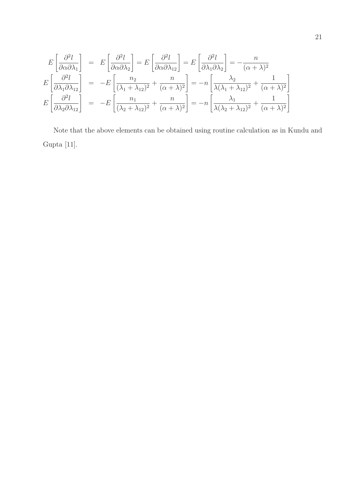$$
E\left[\frac{\partial^2 l}{\partial \alpha \partial \lambda_1}\right] = E\left[\frac{\partial^2 l}{\partial \alpha \partial \lambda_2}\right] = E\left[\frac{\partial^2 l}{\partial \alpha \partial \lambda_1}\right] = E\left[\frac{\partial^2 l}{\partial \lambda_1 \partial \lambda_2}\right] = -\frac{n}{(\alpha + \lambda)^2}
$$

$$
E\left[\frac{\partial^2 l}{\partial \lambda_1 \partial \lambda_1 \partial \lambda_1}\right] = -E\left[\frac{n_2}{(\lambda_1 + \lambda_1 2)^2} + \frac{n}{(\alpha + \lambda)^2}\right] = -n\left[\frac{\lambda_2}{\lambda(\lambda_1 + \lambda_1 2)^2} + \frac{1}{(\alpha + \lambda)^2}\right]
$$

$$
E\left[\frac{\partial^2 l}{\partial \lambda_2 \partial \lambda_1 \partial \lambda_1}\right] = -E\left[\frac{n_1}{(\lambda_2 + \lambda_1 2)^2} + \frac{n}{(\alpha + \lambda)^2}\right] = -n\left[\frac{\lambda_1}{\lambda(\lambda_2 + \lambda_1 2)^2} + \frac{1}{(\alpha + \lambda)^2}\right]
$$

Note that the above elements can be obtained using routine calculation as in Kundu and Gupta $\left[ 11\right] .$